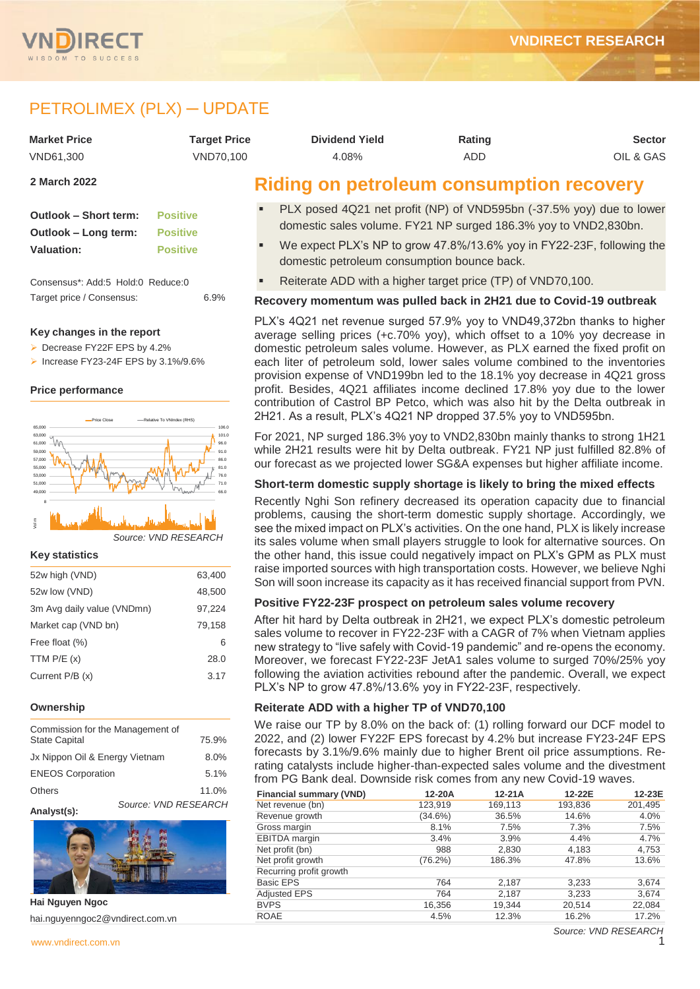

# PETROLIMEX (PLX) - UPDATE

| <b>Market Price</b> | <b>Target Price</b> | <b>Dividend Yield</b>                           | Rating | <b>Sector</b> |
|---------------------|---------------------|-------------------------------------------------|--------|---------------|
| VND61.300           | VND70.100           | 4.08%                                           | ADD    | OIL & GAS     |
| 2 March 2022        |                     | <b>Riding on petroleum consumption recovery</b> |        |               |

| Outlook – Short term: | <b>Positive</b> |
|-----------------------|-----------------|
| Outlook – Long term:  | <b>Positive</b> |
| <b>Valuation:</b>     | <b>Positive</b> |

Consensus\*: Add:5 Hold:0 Reduce:0 Target price / Consensus: 6.9%

#### **Key changes in the report**

▶ Decrease FY22F FPS by 4.2%

 $\triangleright$  Increase FY23-24F EPS by 3.1%/9.6%

#### **Price performance**



### **Key statistics**

| 52w high (VND)             | 63,400 |
|----------------------------|--------|
| 52w low (VND)              | 48,500 |
| 3m Avg daily value (VNDmn) | 97,224 |
| Market cap (VND bn)        | 79,158 |
| Free float (%)             | 6      |
| TTM $P/E(x)$               | 28.0   |
| Current P/B (x)            | 3.17   |
|                            |        |

#### **Ownership**

| Commission for the Management of<br><b>State Capital</b> | 75.9%                |       |
|----------------------------------------------------------|----------------------|-------|
| Jx Nippon Oil & Energy Vietnam                           | 8.0%                 |       |
| <b>ENEOS Corporation</b>                                 | 5.1%                 |       |
| <b>Others</b>                                            |                      | 11.0% |
|                                                          | Source: VND RESEARCH |       |



**Hai Nguyen Ngoc** hai.nguyenngoc2@vndirect.com.vn

- PLX posed 4Q21 net profit (NP) of VND595bn (-37.5% yoy) due to lower domestic sales volume. FY21 NP surged 186.3% yoy to VND2,830bn.
- We expect PLX's NP to grow 47.8%/13.6% yoy in FY22-23F, following the domestic petroleum consumption bounce back.
- Reiterate ADD with a higher target price (TP) of VND70,100.

#### **Recovery momentum was pulled back in 2H21 due to Covid-19 outbreak**

PLX's 4Q21 net revenue surged 57.9% yoy to VND49,372bn thanks to higher average selling prices (+c.70% yoy), which offset to a 10% yoy decrease in domestic petroleum sales volume. However, as PLX earned the fixed profit on each liter of petroleum sold, lower sales volume combined to the inventories provision expense of VND199bn led to the 18.1% yoy decrease in 4Q21 gross profit. Besides, 4Q21 affiliates income declined 17.8% yoy due to the lower contribution of Castrol BP Petco, which was also hit by the Delta outbreak in 2H21. As a result, PLX's 4Q21 NP dropped 37.5% yoy to VND595bn.

For 2021, NP surged 186.3% yoy to VND2,830bn mainly thanks to strong 1H21 while 2H21 results were hit by Delta outbreak. FY21 NP just fulfilled 82.8% of our forecast as we projected lower SG&A expenses but higher affiliate income.

#### **Short-term domestic supply shortage is likely to bring the mixed effects**

Recently Nghi Son refinery decreased its operation capacity due to financial problems, causing the short-term domestic supply shortage. Accordingly, we see the mixed impact on PLX's activities. On the one hand, PLX is likely increase its sales volume when small players struggle to look for alternative sources. On the other hand, this issue could negatively impact on PLX's GPM as PLX must raise imported sources with high transportation costs. However, we believe Nghi Son will soon increase its capacity as it has received financial support from PVN.

#### **Positive FY22-23F prospect on petroleum sales volume recovery**

After hit hard by Delta outbreak in 2H21, we expect PLX's domestic petroleum sales volume to recover in FY22-23F with a CAGR of 7% when Vietnam applies new strategy to "live safely with Covid-19 pandemic" and re-opens the economy. Moreover, we forecast FY22-23F JetA1 sales volume to surged 70%/25% yoy following the aviation activities rebound after the pandemic. Overall, we expect PLX's NP to grow 47.8%/13.6% yoy in FY22-23F, respectively.

#### **Reiterate ADD with a higher TP of VND70,100**

We raise our TP by 8.0% on the back of: (1) rolling forward our DCF model to 2022, and (2) lower FY22F EPS forecast by 4.2% but increase FY23-24F EPS forecasts by 3.1%/9.6% mainly due to higher Brent oil price assumptions. Rerating catalysts include higher-than-expected sales volume and the divestment from PG Bank deal. Downside risk comes from any new Covid-19 waves.

| <b>Financial summary (VND)</b> | 12-20A     | $12-21A$ | 12-22E  | 12-23E  |
|--------------------------------|------------|----------|---------|---------|
| Net revenue (bn)               | 123,919    | 169,113  | 193,836 | 201,495 |
| Revenue growth                 | $(34.6\%)$ | 36.5%    | 14.6%   | 4.0%    |
| Gross margin                   | 8.1%       | 7.5%     | 7.3%    | 7.5%    |
| <b>EBITDA</b> margin           | 3.4%       | 3.9%     | 4.4%    | 4.7%    |
| Net profit (bn)                | 988        | 2,830    | 4,183   | 4,753   |
| Net profit growth              | $(76.2\%)$ | 186.3%   | 47.8%   | 13.6%   |
| Recurring profit growth        |            |          |         |         |
| <b>Basic EPS</b>               | 764        | 2,187    | 3,233   | 3,674   |
| <b>Adjusted EPS</b>            | 764        | 2,187    | 3,233   | 3,674   |
| <b>BVPS</b>                    | 16,356     | 19.344   | 20,514  | 22,084  |
| <b>ROAE</b>                    | 4.5%       | 12.3%    | 16.2%   | 17.2%   |
|                                |            |          |         |         |

*Source: VND RESEARCH*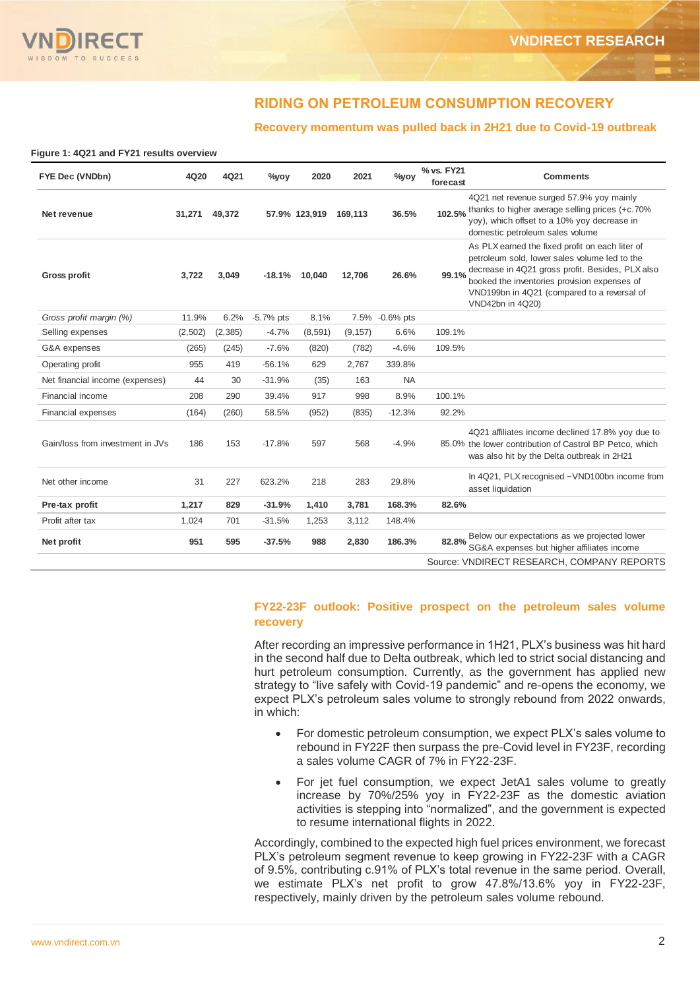# **RIDING ON PETROLEUM CONSUMPTION RECOVERY**

### **Recovery momentum was pulled back in 2H21 due to Covid-19 outbreak**

**Figure 1: 4Q21 and FY21 results overview**

| FYE Dec (VNDbn)                  | 4Q20    | 4Q21     | $\%$ yoy    | 2020          | 2021     | $\%$ vov    | % vs. FY21<br>forecast | <b>Comments</b>                                                                                                                                                                                                                                                         |
|----------------------------------|---------|----------|-------------|---------------|----------|-------------|------------------------|-------------------------------------------------------------------------------------------------------------------------------------------------------------------------------------------------------------------------------------------------------------------------|
| Net revenue                      | 31.271  | 49,372   |             | 57.9% 123,919 | 169.113  | 36.5%       | 102.5%                 | 4Q21 net revenue surged 57.9% yoy mainly<br>thanks to higher average selling prices (+c.70%<br>yoy), which offset to a 10% yoy decrease in<br>domestic petroleum sales volume                                                                                           |
| <b>Gross profit</b>              | 3,722   | 3,049    | $-18.1%$    | 10,040        | 12.706   | 26.6%       | 99.1%                  | As PLX earned the fixed profit on each liter of<br>petroleum sold, lower sales volume led to the<br>decrease in 4Q21 gross profit. Besides, PLX also<br>booked the inventories provision expenses of<br>VND199bn in 4Q21 (compared to a reversal of<br>VND42bn in 4Q20) |
| Gross profit margin (%)          | 11.9%   | 6.2%     | $-5.7%$ pts | 8.1%          | 7.5%     | $-0.6%$ pts |                        |                                                                                                                                                                                                                                                                         |
| Selling expenses                 | (2,502) | (2, 385) | $-4.7%$     | (8,591)       | (9, 157) | 6.6%        | 109.1%                 |                                                                                                                                                                                                                                                                         |
| G&A expenses                     | (265)   | (245)    | $-7.6%$     | (820)         | (782)    | $-4.6%$     | 109.5%                 |                                                                                                                                                                                                                                                                         |
| Operating profit                 | 955     | 419      | $-56.1%$    | 629           | 2,767    | 339.8%      |                        |                                                                                                                                                                                                                                                                         |
| Net financial income (expenses)  | 44      | 30       | $-31.9%$    | (35)          | 163      | <b>NA</b>   |                        |                                                                                                                                                                                                                                                                         |
| Financial income                 | 208     | 290      | 39.4%       | 917           | 998      | 8.9%        | 100.1%                 |                                                                                                                                                                                                                                                                         |
| Financial expenses               | (164)   | (260)    | 58.5%       | (952)         | (835)    | $-12.3%$    | 92.2%                  |                                                                                                                                                                                                                                                                         |
| Gain/loss from investment in JVs | 186     | 153      | $-17.8%$    | 597           | 568      | $-4.9%$     |                        | 4Q21 affiliates income declined 17.8% yoy due to<br>85.0% the lower contribution of Castrol BP Petco, which<br>was also hit by the Delta outbreak in 2H21                                                                                                               |
| Net other income                 | 31      | 227      | 623.2%      | 218           | 283      | 29.8%       |                        | In 4Q21, PLX recognised ~VND100bn income from<br>asset liquidation                                                                                                                                                                                                      |
| Pre-tax profit                   | 1,217   | 829      | $-31.9%$    | 1,410         | 3,781    | 168.3%      | 82.6%                  |                                                                                                                                                                                                                                                                         |
| Profit after tax                 | 1,024   | 701      | $-31.5%$    | 1,253         | 3,112    | 148.4%      |                        |                                                                                                                                                                                                                                                                         |
| Net profit                       | 951     | 595      | $-37.5%$    | 988           | 2,830    | 186.3%      | 82.8%                  | Below our expectations as we projected lower<br>SG&A expenses but higher affiliates income                                                                                                                                                                              |
|                                  |         |          |             |               |          |             |                        | Source: VNDIRECT RESEARCH, COMPANY REPORTS                                                                                                                                                                                                                              |

#### **FY22-23F outlook: Positive prospect on the petroleum sales volume recovery**

After recording an impressive performance in 1H21, PLX's business was hit hard in the second half due to Delta outbreak, which led to strict social distancing and hurt petroleum consumption. Currently, as the government has applied new strategy to "live safely with Covid-19 pandemic" and re-opens the economy, we expect PLX's petroleum sales volume to strongly rebound from 2022 onwards, in which:

- For domestic petroleum consumption, we expect PLX's sales volume to rebound in FY22F then surpass the pre-Covid level in FY23F, recording a sales volume CAGR of 7% in FY22-23F.
- For jet fuel consumption, we expect JetA1 sales volume to greatly increase by 70%/25% yoy in FY22-23F as the domestic aviation activities is stepping into "normalized", and the government is expected to resume international flights in 2022.

Accordingly, combined to the expected high fuel prices environment, we forecast PLX's petroleum segment revenue to keep growing in FY22-23F with a CAGR of 9.5%, contributing c.91% of PLX's total revenue in the same period. Overall, we estimate PLX's net profit to grow 47.8%/13.6% yoy in FY22-23F, respectively, mainly driven by the petroleum sales volume rebound.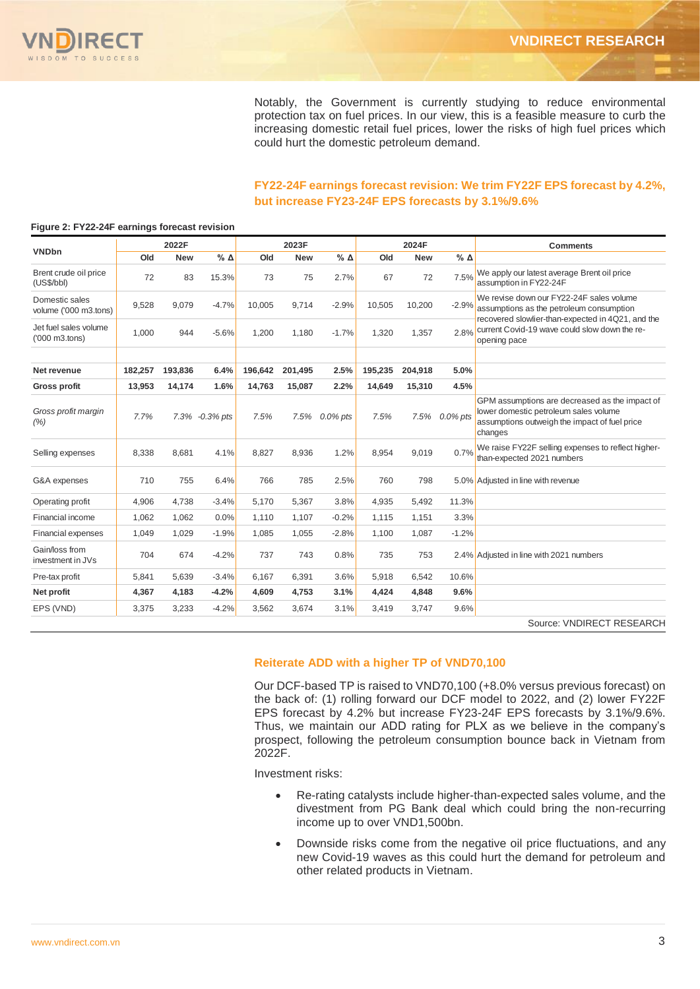

Notably, the Government is currently studying to reduce environmental protection tax on fuel prices. In our view, this is a feasible measure to curb the increasing domestic retail fuel prices, lower the risks of high fuel prices which could hurt the domestic petroleum demand.

#### **FY22-24F earnings forecast revision: We trim FY22F EPS forecast by 4.2%, but increase FY23-24F EPS forecasts by 3.1%/9.6%**

|                                                               |         | 2022F      |                |         | 2023F      |              |         | 2024F      |                 | <b>Comments</b>                                                                                                                                     |
|---------------------------------------------------------------|---------|------------|----------------|---------|------------|--------------|---------|------------|-----------------|-----------------------------------------------------------------------------------------------------------------------------------------------------|
| <b>VNDbn</b>                                                  | Old     | <b>New</b> | $%$ $\Delta$   | Old     | <b>New</b> | $%$ $\Delta$ | Old     | <b>New</b> | $%$ $\triangle$ |                                                                                                                                                     |
| Brent crude oil price<br>(US\$/bb)                            | 72      | 83         | 15.3%          | 73      | 75         | 2.7%         | 67      | 72         | 7.5%            | We apply our latest average Brent oil price<br>assumption in FY22-24F                                                                               |
| Domestic sales<br>volume ('000 m3.tons)                       | 9,528   | 9,079      | $-4.7%$        | 10,005  | 9.714      | $-2.9%$      | 10,505  | 10,200     | $-2.9%$         | We revise down our FY22-24F sales volume<br>assumptions as the petroleum consumption                                                                |
| Jet fuel sales volume<br>$(000 \text{ m3} \cdot \text{tons})$ | 1,000   | 944        | $-5.6%$        | 1,200   | 1,180      | $-1.7%$      | 1,320   | 1,357      | 2.8%            | recovered slowlier-than-expected in 4Q21, and the<br>current Covid-19 wave could slow down the re-<br>opening pace                                  |
|                                                               |         |            |                |         |            |              |         |            |                 |                                                                                                                                                     |
| Net revenue                                                   | 182.257 | 193,836    | 6.4%           | 196.642 | 201.495    | 2.5%         | 195,235 | 204.918    | 5.0%            |                                                                                                                                                     |
| <b>Gross profit</b>                                           | 13.953  | 14,174     | 1.6%           | 14.763  | 15,087     | 2.2%         | 14.649  | 15,310     | 4.5%            |                                                                                                                                                     |
| Gross profit margin<br>(% )                                   | 7.7%    |            | 7.3% -0.3% pts | 7.5%    | 7.5%       | $0.0\%$ pts  | 7.5%    | 7.5%       | $0.0\%$ pts     | GPM assumptions are decreased as the impact of<br>lower domestic petroleum sales volume<br>assumptions outweigh the impact of fuel price<br>changes |
| Selling expenses                                              | 8,338   | 8.681      | 4.1%           | 8,827   | 8.936      | 1.2%         | 8,954   | 9,019      | 0.7%            | We raise FY22F selling expenses to reflect higher-<br>than-expected 2021 numbers                                                                    |
| G&A expenses                                                  | 710     | 755        | 6.4%           | 766     | 785        | 2.5%         | 760     | 798        |                 | 5.0% Adjusted in line with revenue                                                                                                                  |
| Operating profit                                              | 4,906   | 4.738      | $-3.4%$        | 5,170   | 5.367      | 3.8%         | 4,935   | 5,492      | 11.3%           |                                                                                                                                                     |
| Financial income                                              | 1,062   | 1.062      | 0.0%           | 1.110   | 1.107      | $-0.2%$      | 1,115   | 1.151      | 3.3%            |                                                                                                                                                     |
| <b>Financial expenses</b>                                     | 1,049   | 1,029      | $-1.9%$        | 1,085   | 1,055      | $-2.8%$      | 1,100   | 1.087      | $-1.2%$         |                                                                                                                                                     |
| Gain/loss from<br>investment in JVs                           | 704     | 674        | $-4.2%$        | 737     | 743        | 0.8%         | 735     | 753        |                 | 2.4% Adjusted in line with 2021 numbers                                                                                                             |
| Pre-tax profit                                                | 5,841   | 5,639      | $-3.4%$        | 6,167   | 6,391      | 3.6%         | 5,918   | 6,542      | 10.6%           |                                                                                                                                                     |
| Net profit                                                    | 4,367   | 4,183      | $-4.2%$        | 4,609   | 4,753      | 3.1%         | 4,424   | 4,848      | 9.6%            |                                                                                                                                                     |
| EPS (VND)                                                     | 3,375   | 3,233      | $-4.2%$        | 3,562   | 3,674      | 3.1%         | 3,419   | 3,747      | 9.6%            |                                                                                                                                                     |
|                                                               |         |            |                |         |            |              |         |            |                 | Source: VNDIRECT RESEARCH                                                                                                                           |

#### **Figure 2: FY22-24F earnings forecast revision**

#### **Reiterate ADD with a higher TP of VND70,100**

Our DCF-based TP is raised to VND70,100 (+8.0% versus previous forecast) on the back of: (1) rolling forward our DCF model to 2022, and (2) lower FY22F EPS forecast by 4.2% but increase FY23-24F EPS forecasts by 3.1%/9.6%. Thus, we maintain our ADD rating for PLX as we believe in the company's prospect, following the petroleum consumption bounce back in Vietnam from 2022F.

Investment risks:

- Re-rating catalysts include higher-than-expected sales volume, and the divestment from PG Bank deal which could bring the non-recurring income up to over VND1,500bn.
- Downside risks come from the negative oil price fluctuations, and any new Covid-19 waves as this could hurt the demand for petroleum and other related products in Vietnam.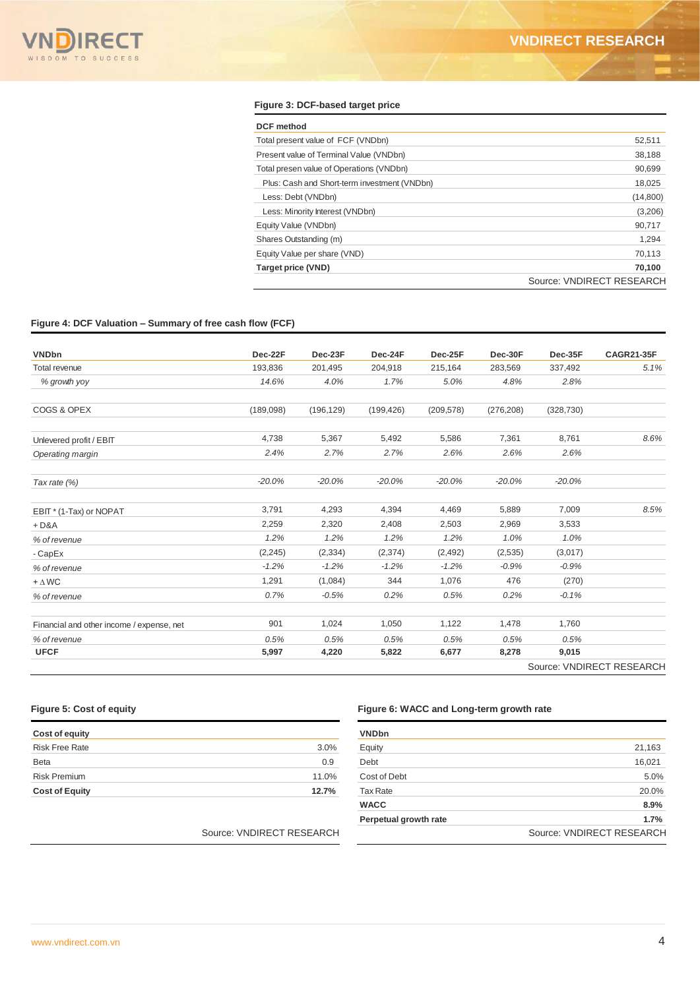#### **Figure 3: DCF-based target price**

| <b>DCF</b> method                            |                           |
|----------------------------------------------|---------------------------|
| Total present value of FCF (VNDbn)           | 52,511                    |
| Present value of Terminal Value (VNDbn)      | 38,188                    |
| Total presen value of Operations (VNDbn)     | 90,699                    |
| Plus: Cash and Short-term investment (VNDbn) | 18,025                    |
| Less: Debt (VNDbn)                           | (14,800)                  |
| Less: Minority Interest (VNDbn)              | (3,206)                   |
| Equity Value (VNDbn)                         | 90,717                    |
| Shares Outstanding (m)                       | 1,294                     |
| Equity Value per share (VND)                 | 70,113                    |
| <b>Target price (VND)</b>                    | 70.100                    |
|                                              | Source: VNDIRECT RESEARCH |

#### **Figure 4: DCF Valuation – Summary of free cash flow (FCF)**

| <b>VNDbn</b>                              | Dec-22F   | Dec-23F    | Dec-24F    | Dec-25F    | Dec-30F    | Dec-35F    | <b>CAGR21-35F</b> |
|-------------------------------------------|-----------|------------|------------|------------|------------|------------|-------------------|
| <b>Total revenue</b>                      | 193,836   | 201,495    | 204,918    | 215,164    | 283,569    | 337,492    | 5.1%              |
| % growth yoy                              | 14.6%     | 4.0%       | 1.7%       | 5.0%       | 4.8%       | 2.8%       |                   |
| COGS & OPEX                               | (189,098) | (196, 129) | (199, 426) | (209, 578) | (276, 208) | (328, 730) |                   |
| Unlevered profit / EBIT                   | 4,738     | 5,367      | 5,492      | 5,586      | 7,361      | 8,761      | 8.6%              |
| Operating margin                          | 2.4%      | 2.7%       | 2.7%       | 2.6%       | 2.6%       | 2.6%       |                   |
| Tax rate $(%)$                            | $-20.0%$  | $-20.0%$   | $-20.0%$   | $-20.0%$   | $-20.0%$   | $-20.0%$   |                   |
| EBIT* (1-Tax) or NOPAT                    | 3,791     | 4,293      | 4,394      | 4,469      | 5,889      | 7,009      | 8.5%              |
| $+D&A$                                    | 2,259     | 2,320      | 2,408      | 2,503      | 2,969      | 3,533      |                   |
| % of revenue                              | 1.2%      | 1.2%       | 1.2%       | 1.2%       | 1.0%       | 1.0%       |                   |
| - CapEx                                   | (2, 245)  | (2, 334)   | (2,374)    | (2,492)    | (2,535)    | (3,017)    |                   |
| % of revenue                              | $-1.2%$   | $-1.2%$    | $-1.2%$    | $-1.2%$    | $-0.9%$    | $-0.9%$    |                   |
| $+ \Delta W C$                            | 1,291     | (1,084)    | 344        | 1,076      | 476        | (270)      |                   |
| % of revenue                              | 0.7%      | $-0.5%$    | 0.2%       | 0.5%       | 0.2%       | $-0.1%$    |                   |
| Financial and other income / expense, net | 901       | 1,024      | 1,050      | 1,122      | 1,478      | 1,760      |                   |
| % of revenue                              | 0.5%      | 0.5%       | 0.5%       | 0.5%       | 0.5%       | 0.5%       |                   |
| <b>UFCF</b>                               | 5,997     | 4,220      | 5,822      | 6,677      | 8,278      | 9,015      |                   |

| Cost of equity        |       |
|-----------------------|-------|
| <b>Risk Free Rate</b> | 3.0%  |
| <b>Beta</b>           | 0.9   |
| <b>Risk Premium</b>   | 11.0% |
| <b>Cost of Equity</b> | 12.7% |

#### Source: VNDIRECT RESEARCH

#### **Figure 5: Cost of equity Figure 6: WACC and Long-term growth rate**

| <b>VNDbn</b>          |                           |
|-----------------------|---------------------------|
| Equity                | 21,163                    |
| Debt                  | 16,021                    |
| Cost of Debt          | 5.0%                      |
| <b>Tax Rate</b>       | 20.0%                     |
| <b>WACC</b>           | 8.9%                      |
| Perpetual growth rate | 1.7%                      |
|                       | Source: VNDIRECT RESEARCH |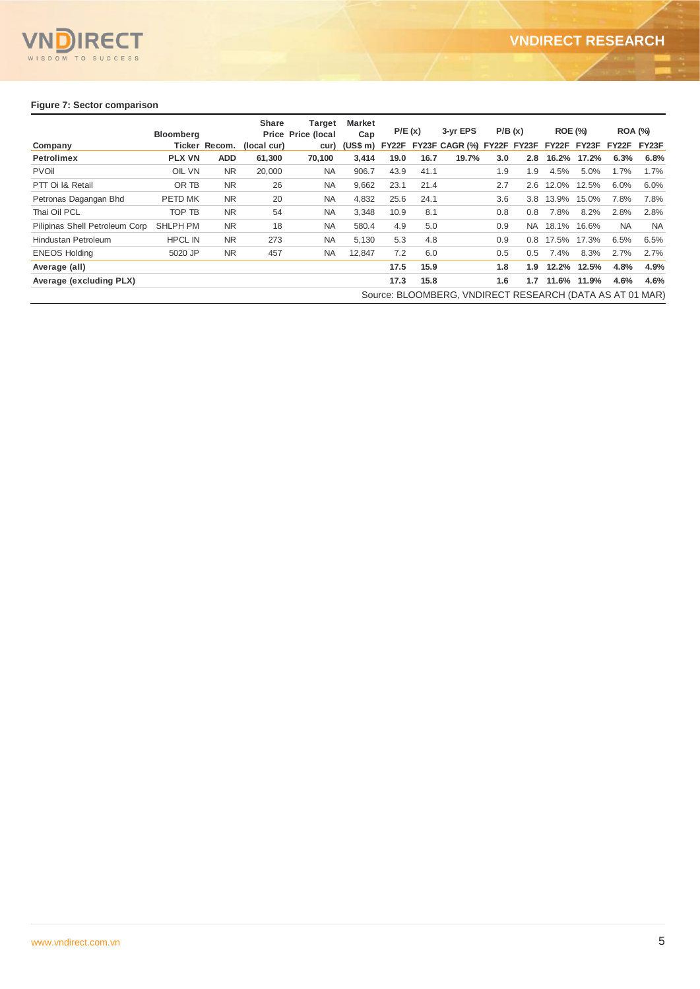

#### **Figure 7: Sector comparison**

|                                | <b>Bloomberg</b> |               | <b>Share</b> | <b>Target</b><br><b>Price Price (local</b> | <b>Market</b><br>Cap |      | P/E(x) | 3-vr EPS                                                 | P/B(x) |     | <b>ROE (%)</b>    |       | <b>ROA (%)</b> |           |
|--------------------------------|------------------|---------------|--------------|--------------------------------------------|----------------------|------|--------|----------------------------------------------------------|--------|-----|-------------------|-------|----------------|-----------|
| Company                        |                  | Ticker Recom. | (local cur)  | cur)                                       |                      |      |        | (US\$ m) FY22F FY23F CAGR (%) FY22F FY23F                |        |     | FY22F FY23F FY22F |       |                | FY23F     |
| <b>Petrolimex</b>              | <b>PLX VN</b>    | <b>ADD</b>    | 61,300       | 70,100                                     | 3,414                | 19.0 | 16.7   | 19.7%                                                    | 3.0    | 2.8 | 16.2%             | 17.2% | 6.3%           | 6.8%      |
| <b>PVOII</b>                   | OIL VN           | <b>NR</b>     | 20,000       | <b>NA</b>                                  | 906.7                | 43.9 | 41.1   |                                                          | 1.9    | 1.9 | 4.5%              | 5.0%  | 1.7%           | 1.7%      |
| PTT Oi I& Retail               | OR TB            | <b>NR</b>     | 26           | <b>NA</b>                                  | 9,662                | 23.1 | 21.4   |                                                          | 2.7    | 2.6 | 12.0%             | 12.5% | 6.0%           | 6.0%      |
| Petronas Dagangan Bhd          | PETD MK          | <b>NR</b>     | 20           | <b>NA</b>                                  | 4,832                | 25.6 | 24.1   |                                                          | 3.6    | 3.8 | 13.9%             | 15.0% | 7.8%           | 7.8%      |
| Thai Oil PCL                   | TOP TB           | <b>NR</b>     | 54           | <b>NA</b>                                  | 3,348                | 10.9 | 8.1    |                                                          | 0.8    | 0.8 | 7.8%              | 8.2%  | 2.8%           | 2.8%      |
| Pilipinas Shell Petroleum Corp | <b>SHLPH PM</b>  | <b>NR</b>     | 18           | <b>NA</b>                                  | 580.4                | 4.9  | 5.0    |                                                          | 0.9    | NA. | 18.1%             | 16.6% | <b>NA</b>      | <b>NA</b> |
| Hindustan Petroleum            | <b>HPCL IN</b>   | <b>NR</b>     | 273          | <b>NA</b>                                  | 5,130                | 5.3  | 4.8    |                                                          | 0.9    | 0.8 | 17.5%             | 17.3% | 6.5%           | 6.5%      |
| <b>ENEOS Holding</b>           | 5020 JP          | <b>NR</b>     | 457          | <b>NA</b>                                  | 12.847               | 7.2  | 6.0    |                                                          | 0.5    | 0.5 | 7.4%              | 8.3%  | 2.7%           | 2.7%      |
| Average (all)                  |                  |               |              |                                            |                      | 17.5 | 15.9   |                                                          | 1.8    | 1.9 | 12.2%             | 12.5% | 4.8%           | 4.9%      |
| Average (excluding PLX)        |                  |               |              |                                            |                      | 17.3 | 15.8   |                                                          | 1.6    | 1.7 | 11.6%             | 11.9% | 4.6%           | 4.6%      |
|                                |                  |               |              |                                            |                      |      |        | Source: BLOOMBERG, VNDIRECT RESEARCH (DATA AS AT 01 MAR) |        |     |                   |       |                |           |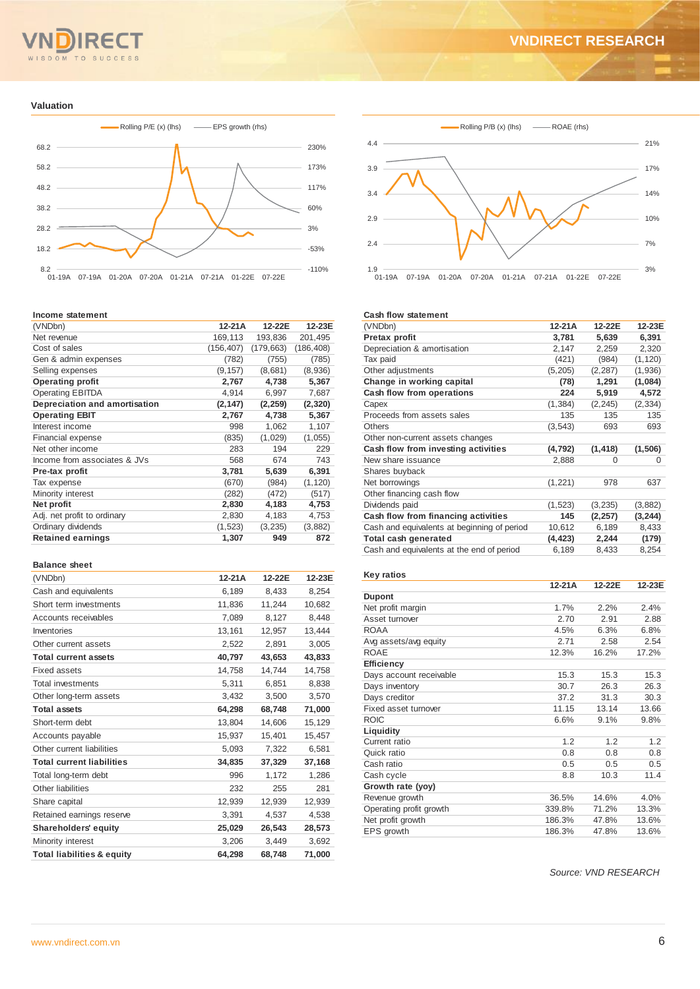#### TO **SUCCESS**  $M$

# **VNDIRECT RESEARCH**

#### **Valuation**



#### **Income statement**

| (VNDbn)                       | 12-21A     | 12-22E     | 12-23E     |
|-------------------------------|------------|------------|------------|
| Net revenue                   | 169,113    | 193,836    | 201,495    |
| Cost of sales                 | (156, 407) | (179, 663) | (186, 408) |
| Gen & admin expenses          | (782)      | (755)      | (785)      |
| Selling expenses              | (9, 157)   | (8,681)    | (8,936)    |
| <b>Operating profit</b>       | 2,767      | 4,738      | 5,367      |
| <b>Operating EBITDA</b>       | 4,914      | 6,997      | 7,687      |
| Depreciation and amortisation | (2, 147)   | (2, 259)   | (2, 320)   |
| <b>Operating EBIT</b>         | 2,767      | 4,738      | 5,367      |
| Interest income               | 998        | 1,062      | 1,107      |
| Financial expense             | (835)      | (1,029)    | (1,055)    |
| Net other income              | 283        | 194        | 229        |
| Income from associates & JVs  | 568        | 674        | 743        |
| Pre-tax profit                | 3,781      | 5,639      | 6,391      |
| Tax expense                   | (670)      | (984)      | (1, 120)   |
| Minority interest             | (282)      | (472)      | (517)      |
| Net profit                    | 2,830      | 4,183      | 4,753      |
| Adj. net profit to ordinary   | 2,830      | 4,183      | 4,753      |
| Ordinary dividends            | (1,523)    | (3,235)    | (3,882)    |
| <b>Retained earnings</b>      | 1,307      | 949        | 872        |

#### **Balance sheet**

| (VNDbn)                               | $12-21A$ | 12-22E | 12-23E |
|---------------------------------------|----------|--------|--------|
| Cash and equivalents                  | 6,189    | 8.433  | 8,254  |
| Short term investments                | 11,836   | 11,244 | 10,682 |
| Accounts receivables                  | 7,089    | 8.127  | 8,448  |
| Inventories                           | 13,161   | 12,957 | 13,444 |
| Other current assets                  | 2,522    | 2,891  | 3,005  |
| <b>Total current assets</b>           | 40,797   | 43,653 | 43,833 |
| Fixed assets                          | 14,758   | 14,744 | 14,758 |
| <b>Total investments</b>              | 5,311    | 6,851  | 8,838  |
| Other long-term assets                | 3.432    | 3,500  | 3,570  |
| <b>Total assets</b>                   | 64,298   | 68,748 | 71,000 |
| Short-term debt                       | 13,804   | 14,606 | 15,129 |
| Accounts payable                      | 15,937   | 15,401 | 15,457 |
| Other current liabilities             | 5,093    | 7,322  | 6,581  |
| <b>Total current liabilities</b>      | 34,835   | 37,329 | 37,168 |
| Total long-term debt                  | 996      | 1,172  | 1,286  |
| Other liabilities                     | 232      | 255    | 281    |
| Share capital                         | 12,939   | 12,939 | 12,939 |
| Retained earnings reserve             | 3,391    | 4,537  | 4,538  |
| Shareholders' equity                  | 25,029   | 26,543 | 28,573 |
| Minority interest                     | 3,206    | 3,449  | 3,692  |
| <b>Total liabilities &amp; equity</b> | 64.298   | 68.748 | 71,000 |



#### **Cash flow statement**

| (VNDbn)                                     | 12-21A   | 12-22E   | 12-23E   |
|---------------------------------------------|----------|----------|----------|
| Pretax profit                               | 3,781    | 5.639    | 6.391    |
| Depreciation & amortisation                 | 2,147    | 2,259    | 2,320    |
| Tax paid                                    | (421)    | (984)    | (1, 120) |
| Other adjustments                           | (5, 205) | (2, 287) | (1,936)  |
| Change in working capital                   | (78)     | 1,291    | (1,084)  |
| Cash flow from operations                   | 224      | 5,919    | 4,572    |
| Capex                                       | (1, 384) | (2, 245) | (2, 334) |
| Proceeds from assets sales                  | 135      | 135      | 135      |
| <b>Others</b>                               | (3,543)  | 693      | 693      |
| Other non-current assets changes            |          |          |          |
| Cash flow from investing activities         | (4, 792) | (1, 418) | (1,506)  |
| New share issuance                          | 2,888    | 0        | 0        |
| Shares buyback                              |          |          |          |
| Net borrowings                              | (1,221)  | 978      | 637      |
| Other financing cash flow                   |          |          |          |
| Dividends paid                              | (1,523)  | (3,235)  | (3,882)  |
| Cash flow from financing activities         | 145      | (2, 257) | (3, 244) |
| Cash and equivalents at beginning of period | 10,612   | 6,189    | 8,433    |
| Total cash generated                        | (4, 423) | 2,244    | (179)    |
| Cash and equivalents at the end of period   | 6,189    | 8,433    | 8,254    |
|                                             |          |          |          |

#### **Key ratios**

|                         | 12-21A | 12-22E | 12-23E |
|-------------------------|--------|--------|--------|
| <b>Dupont</b>           |        |        |        |
| Net profit margin       | 1.7%   | 2.2%   | 2.4%   |
| Asset turnover          | 2.70   | 2.91   | 2.88   |
| <b>ROAA</b>             | 4.5%   | 6.3%   | 6.8%   |
| Avg assets/avg equity   | 2.71   | 2.58   | 2.54   |
| <b>ROAE</b>             | 12.3%  | 16.2%  | 17.2%  |
| <b>Efficiency</b>       |        |        |        |
| Days account receivable | 15.3   | 15.3   | 15.3   |
| Days inventory          | 30.7   | 26.3   | 26.3   |
| Days creditor           | 37.2   | 31.3   | 30.3   |
| Fixed asset turnover    | 11.15  | 13.14  | 13.66  |
| <b>ROIC</b>             | 6.6%   | 9.1%   | 9.8%   |
| Liquidity               |        |        |        |
| Current ratio           | 1.2    | 1.2    | 1.2    |
| Quick ratio             | 0.8    | 0.8    | 0.8    |
| Cash ratio              | 0.5    | 0.5    | 0.5    |
| Cash cycle              | 8.8    | 10.3   | 11.4   |
| Growth rate (yoy)       |        |        |        |
| Revenue growth          | 36.5%  | 14.6%  | 4.0%   |
| Operating profit growth | 339.8% | 71.2%  | 13.3%  |
| Net profit growth       | 186.3% | 47.8%  | 13.6%  |
| EPS growth              | 186.3% | 47.8%  | 13.6%  |

*Source: VND RESEARCH*